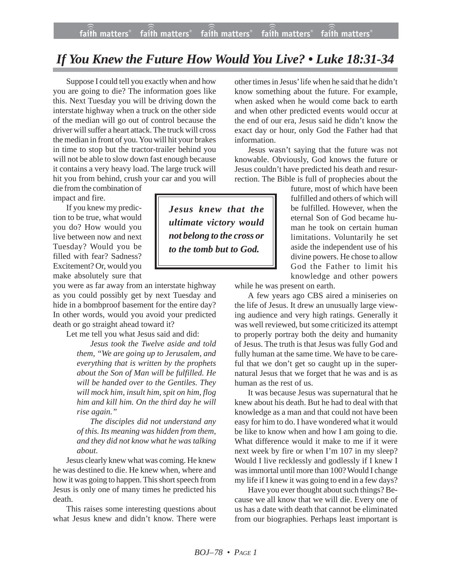## *If You Knew the Future How Would You Live? • Luke 18:31-34*

Suppose I could tell you exactly when and how you are going to die? The information goes like this. Next Tuesday you will be driving down the interstate highway when a truck on the other side of the median will go out of control because the driver will suffer a heart attack. The truck will cross the median in front of you. You will hit your brakes in time to stop but the tractor-trailer behind you will not be able to slow down fast enough because it contains a very heavy load. The large truck will hit you from behind, crush your car and you will

die from the combination of impact and fire.

If you knew my prediction to be true, what would you do? How would you live between now and next Tuesday? Would you be filled with fear? Sadness? Excitement? Or, would you make absolutely sure that

you were as far away from an interstate highway as you could possibly get by next Tuesday and hide in a bombproof basement for the entire day? In other words, would you avoid your predicted death or go straight ahead toward it?

Let me tell you what Jesus said and did:

*Jesus took the Twelve aside and told them, "We are going up to Jerusalem, and everything that is written by the prophets about the Son of Man will be fulfilled. He will be handed over to the Gentiles. They will mock him, insult him, spit on him, flog him and kill him. On the third day he will rise again."*

*The disciples did not understand any of this. Its meaning was hidden from them, and they did not know what he was talking about*.

Jesus clearly knew what was coming. He knew he was destined to die. He knew when, where and how it was going to happen. This short speech from Jesus is only one of many times he predicted his death.

This raises some interesting questions about what Jesus knew and didn't know. There were

other times in Jesus' life when he said that he didn't know something about the future. For example, when asked when he would come back to earth and when other predicted events would occur at the end of our era, Jesus said he didn't know the exact day or hour, only God the Father had that information.

Jesus wasn't saying that the future was not knowable. Obviously, God knows the future or Jesus couldn't have predicted his death and resurrection. The Bible is full of prophecies about the

> future, most of which have been fulfilled and others of which will be fulfilled. However, when the eternal Son of God became human he took on certain human limitations. Voluntarily he set aside the independent use of his divine powers. He chose to allow God the Father to limit his knowledge and other powers

while he was present on earth.

A few years ago CBS aired a miniseries on the life of Jesus. It drew an unusually large viewing audience and very high ratings. Generally it was well reviewed, but some criticized its attempt to properly portray both the deity and humanity of Jesus. The truth is that Jesus was fully God and fully human at the same time. We have to be careful that we don't get so caught up in the supernatural Jesus that we forget that he was and is as human as the rest of us.

It was because Jesus was supernatural that he knew about his death. But he had to deal with that knowledge as a man and that could not have been easy for him to do. I have wondered what it would be like to know when and how I am going to die. What difference would it make to me if it were next week by fire or when I'm 107 in my sleep? Would I live recklessly and godlessly if I knew I was immortal until more than 100? Would I change my life if I knew it was going to end in a few days?

Have you ever thought about such things? Because we all know that we will die. Every one of us has a date with death that cannot be eliminated from our biographies. Perhaps least important is

*Jesus knew that the ultimate victory would not belong to the cross or to the tomb but to God.*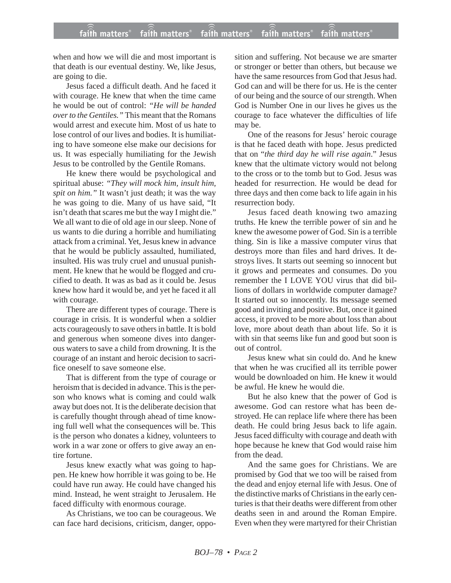when and how we will die and most important is that death is our eventual destiny. We, like Jesus, are going to die.

Jesus faced a difficult death. And he faced it with courage. He knew that when the time came he would be out of control: *"He will be handed over to the Gentiles."* This meant that the Romans would arrest and execute him. Most of us hate to lose control of our lives and bodies. It is humiliating to have someone else make our decisions for us. It was especially humiliating for the Jewish Jesus to be controlled by the Gentile Romans.

He knew there would be psychological and spiritual abuse: *"They will mock him, insult him, spit on him."* It wasn't just death; it was the way he was going to die. Many of us have said, "It isn't death that scares me but the way I might die." We all want to die of old age in our sleep. None of us wants to die during a horrible and humiliating attack from a criminal. Yet, Jesus knew in advance that he would be publicly assaulted, humiliated, insulted. His was truly cruel and unusual punishment. He knew that he would be flogged and crucified to death. It was as bad as it could be. Jesus knew how hard it would be, and yet he faced it all with courage.

There are different types of courage. There is courage in crisis. It is wonderful when a soldier acts courageously to save others in battle. It is bold and generous when someone dives into dangerous waters to save a child from drowning. It is the courage of an instant and heroic decision to sacrifice oneself to save someone else.

That is different from the type of courage or heroism that is decided in advance. This is the person who knows what is coming and could walk away but does not. It is the deliberate decision that is carefully thought through ahead of time knowing full well what the consequences will be. This is the person who donates a kidney, volunteers to work in a war zone or offers to give away an entire fortune.

Jesus knew exactly what was going to happen. He knew how horrible it was going to be. He could have run away. He could have changed his mind. Instead, he went straight to Jerusalem. He faced difficulty with enormous courage.

As Christians, we too can be courageous. We can face hard decisions, criticism, danger, opposition and suffering. Not because we are smarter or stronger or better than others, but because we have the same resources from God that Jesus had. God can and will be there for us. He is the center of our being and the source of our strength. When God is Number One in our lives he gives us the courage to face whatever the difficulties of life may be.

One of the reasons for Jesus' heroic courage is that he faced death with hope. Jesus predicted that on "*the third day he will rise again*." Jesus knew that the ultimate victory would not belong to the cross or to the tomb but to God. Jesus was headed for resurrection. He would be dead for three days and then come back to life again in his resurrection body.

Jesus faced death knowing two amazing truths. He knew the terrible power of sin and he knew the awesome power of God. Sin is a terrible thing. Sin is like a massive computer virus that destroys more than files and hard drives. It destroys lives. It starts out seeming so innocent but it grows and permeates and consumes. Do you remember the I LOVE YOU virus that did billions of dollars in worldwide computer damage? It started out so innocently. Its message seemed good and inviting and positive. But, once it gained access, it proved to be more about loss than about love, more about death than about life. So it is with sin that seems like fun and good but soon is out of control.

Jesus knew what sin could do. And he knew that when he was crucified all its terrible power would be downloaded on him. He knew it would be awful. He knew he would die.

But he also knew that the power of God is awesome. God can restore what has been destroyed. He can replace life where there has been death. He could bring Jesus back to life again. Jesus faced difficulty with courage and death with hope because he knew that God would raise him from the dead.

And the same goes for Christians. We are promised by God that we too will be raised from the dead and enjoy eternal life with Jesus. One of the distinctive marks of Christians in the early centuries is that their deaths were different from other deaths seen in and around the Roman Empire. Even when they were martyred for their Christian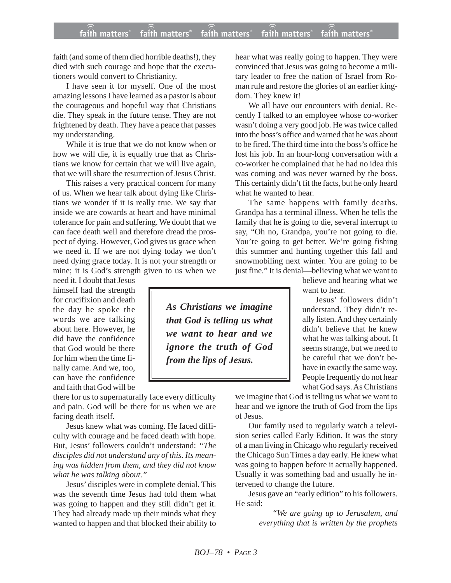## **faith matters® faith matters® faith matters® faith matters® faith matters®** ))) ))) faith matters® faith matters<sup>®</sup> faith matters

faith (and some of them died horrible deaths!), they died with such courage and hope that the executioners would convert to Christianity.

I have seen it for myself. One of the most amazing lessons I have learned as a pastor is about the courageous and hopeful way that Christians die. They speak in the future tense. They are not frightened by death. They have a peace that passes my understanding.

While it is true that we do not know when or how we will die, it is equally true that as Christians we know for certain that we will live again, that we will share the resurrection of Jesus Christ.

This raises a very practical concern for many of us. When we hear talk about dying like Christians we wonder if it is really true. We say that inside we are cowards at heart and have minimal tolerance for pain and suffering. We doubt that we can face death well and therefore dread the prospect of dying. However, God gives us grace when we need it. If we are not dying today we don't need dying grace today. It is not your strength or mine; it is God's strength given to us when we

need it. I doubt that Jesus himself had the strength for crucifixion and death the day he spoke the words we are talking about here. However, he did have the confidence that God would be there for him when the time finally came. And we, too, can have the confidence and faith that God will be

there for us to supernaturally face every difficulty and pain. God will be there for us when we are facing death itself.

Jesus knew what was coming. He faced difficulty with courage and he faced death with hope. But, Jesus' followers couldn't understand: *"The disciples did not understand any of this. Its meaning was hidden from them, and they did not know what he was talking about."*

Jesus' disciples were in complete denial. This was the seventh time Jesus had told them what was going to happen and they still didn't get it. They had already made up their minds what they wanted to happen and that blocked their ability to hear what was really going to happen. They were convinced that Jesus was going to become a military leader to free the nation of Israel from Roman rule and restore the glories of an earlier kingdom. They knew it!

We all have our encounters with denial. Recently I talked to an employee whose co-worker wasn't doing a very good job. He was twice called into the boss's office and warned that he was about to be fired. The third time into the boss's office he lost his job. In an hour-long conversation with a co-worker he complained that he had no idea this was coming and was never warned by the boss. This certainly didn't fit the facts, but he only heard what he wanted to hear.

The same happens with family deaths. Grandpa has a terminal illness. When he tells the family that he is going to die, several interrupt to say, "Oh no, Grandpa, you're not going to die. You're going to get better. We're going fishing this summer and hunting together this fall and snowmobiling next winter. You are going to be just fine." It is denial—believing what we want to

believe and hearing what we want to hear.

Jesus' followers didn't understand. They didn't really listen. And they certainly didn't believe that he knew what he was talking about. It seems strange, but we need to be careful that we don't behave in exactly the same way. People frequently do not hear what God says. As Christians

we imagine that God is telling us what we want to hear and we ignore the truth of God from the lips of Jesus.

Our family used to regularly watch a television series called Early Edition. It was the story of a man living in Chicago who regularly received the Chicago Sun Times a day early. He knew what was going to happen before it actually happened. Usually it was something bad and usually he intervened to change the future.

Jesus gave an "early edition" to his followers. He said:

> *"We are going up to Jerusalem, and everything that is written by the prophets*

*As Christians we imagine that God is telling us what we want to hear and we ignore the truth of God from the lips of Jesus.*